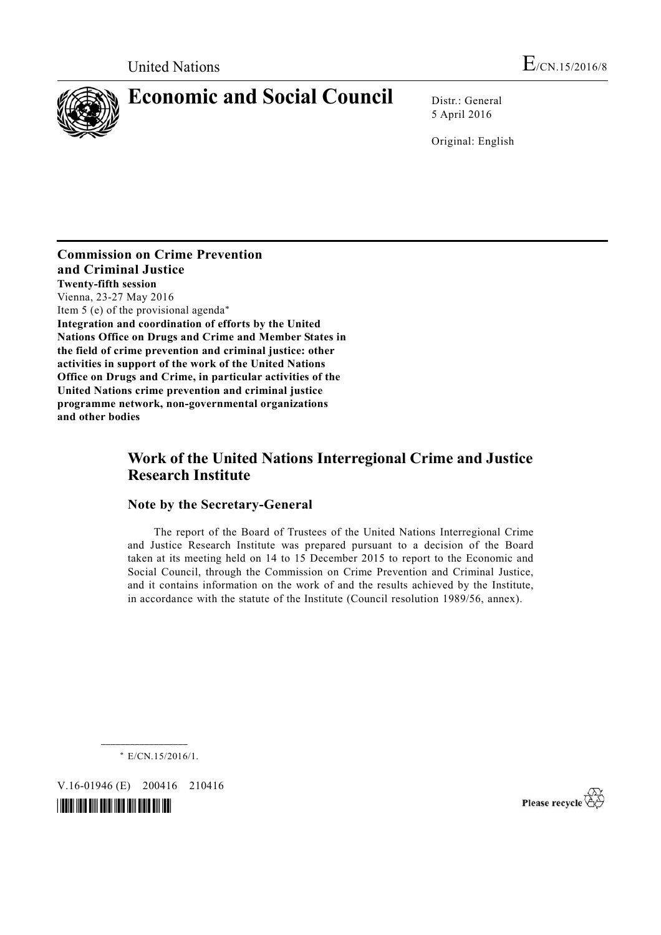

# **Economic and Social Council** Distr.: General

5 April 2016

Original: English

**Commission on Crime Prevention and Criminal Justice Twenty-fifth session**  Vienna, 23-27 May 2016 Item 5 (e) of the provisional agenda\* **Integration and coordination of efforts by the United Nations Office on Drugs and Crime and Member States in the field of crime prevention and criminal justice: other activities in support of the work of the United Nations Office on Drugs and Crime, in particular activities of the United Nations crime prevention and criminal justice programme network, non-governmental organizations and other bodies**

# **Work of the United Nations Interregional Crime and Justice Research Institute**

## **Note by the Secretary-General**

 The report of the Board of Trustees of the United Nations Interregional Crime and Justice Research Institute was prepared pursuant to a decision of the Board taken at its meeting held on 14 to 15 December 2015 to report to the Economic and Social Council, through the Commission on Crime Prevention and Criminal Justice, and it contains information on the work of and the results achieved by the Institute, in accordance with the statute of the Institute (Council resolution 1989/56, annex).

\* E/CN.15/2016/1.

V.16-01946 (E) 200416 210416



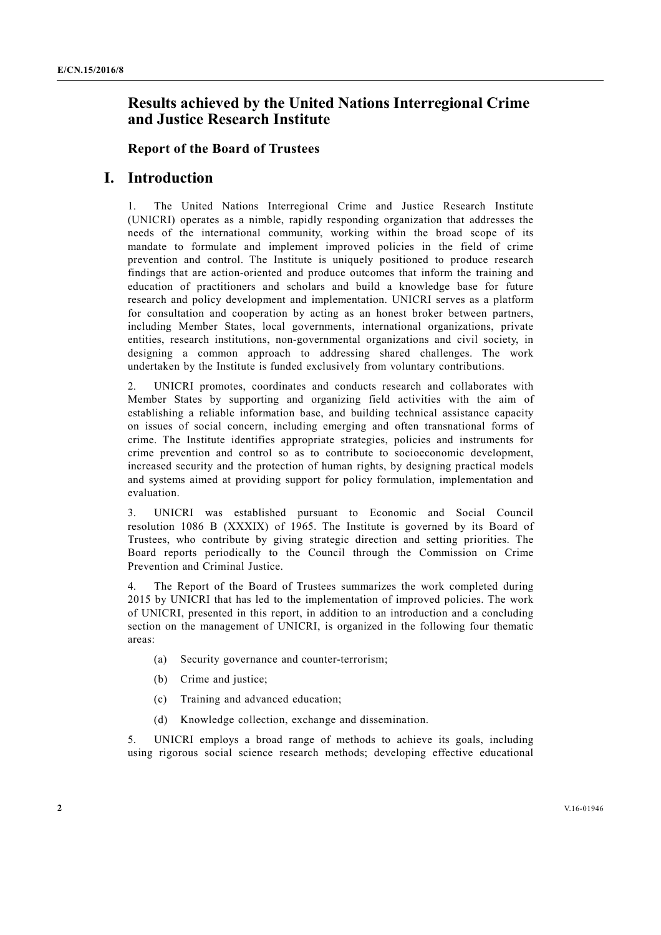# **Results achieved by the United Nations Interregional Crime and Justice Research Institute**

#### **Report of the Board of Trustees**

## **I. Introduction**

1. The United Nations Interregional Crime and Justice Research Institute (UNICRI) operates as a nimble, rapidly responding organization that addresses the needs of the international community, working within the broad scope of its mandate to formulate and implement improved policies in the field of crime prevention and control. The Institute is uniquely positioned to produce research findings that are action-oriented and produce outcomes that inform the training and education of practitioners and scholars and build a knowledge base for future research and policy development and implementation. UNICRI serves as a platform for consultation and cooperation by acting as an honest broker between partners, including Member States, local governments, international organizations, private entities, research institutions, non-governmental organizations and civil society, in designing a common approach to addressing shared challenges. The work undertaken by the Institute is funded exclusively from voluntary contributions.

2. UNICRI promotes, coordinates and conducts research and collaborates with Member States by supporting and organizing field activities with the aim of establishing a reliable information base, and building technical assistance capacity on issues of social concern, including emerging and often transnational forms of crime. The Institute identifies appropriate strategies, policies and instruments for crime prevention and control so as to contribute to socioeconomic development, increased security and the protection of human rights, by designing practical models and systems aimed at providing support for policy formulation, implementation and evaluation.

3. UNICRI was established pursuant to Economic and Social Council resolution 1086 B (XXXIX) of 1965. The Institute is governed by its Board of Trustees, who contribute by giving strategic direction and setting priorities. The Board reports periodically to the Council through the Commission on Crime Prevention and Criminal Justice.

4. The Report of the Board of Trustees summarizes the work completed during 2015 by UNICRI that has led to the implementation of improved policies. The work of UNICRI, presented in this report, in addition to an introduction and a concluding section on the management of UNICRI, is organized in the following four thematic areas:

- (a) Security governance and counter-terrorism;
- (b) Crime and justice;
- (c) Training and advanced education;
- (d) Knowledge collection, exchange and dissemination.

5. UNICRI employs a broad range of methods to achieve its goals, including using rigorous social science research methods; developing effective educational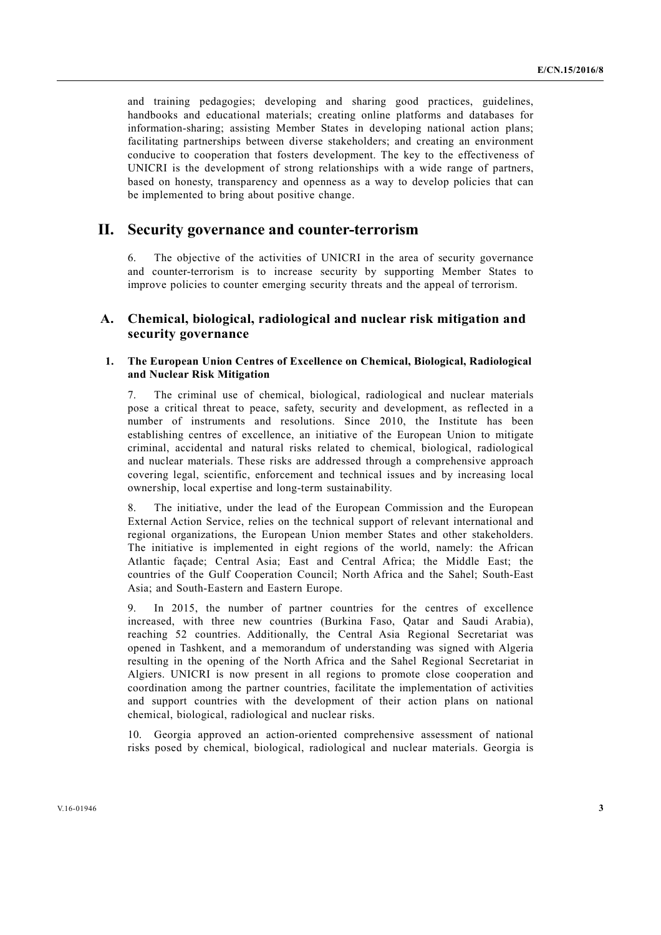and training pedagogies; developing and sharing good practices, guidelines, handbooks and educational materials; creating online platforms and databases for information-sharing; assisting Member States in developing national action plans; facilitating partnerships between diverse stakeholders; and creating an environment conducive to cooperation that fosters development. The key to the effectiveness of UNICRI is the development of strong relationships with a wide range of partners, based on honesty, transparency and openness as a way to develop policies that can be implemented to bring about positive change.

## **II. Security governance and counter-terrorism**

6. The objective of the activities of UNICRI in the area of security governance and counter-terrorism is to increase security by supporting Member States to improve policies to counter emerging security threats and the appeal of terrorism.

## **A. Chemical, biological, radiological and nuclear risk mitigation and security governance**

#### **1. The European Union Centres of Excellence on Chemical, Biological, Radiological and Nuclear Risk Mitigation**

7. The criminal use of chemical, biological, radiological and nuclear materials pose a critical threat to peace, safety, security and development, as reflected in a number of instruments and resolutions. Since 2010, the Institute has been establishing centres of excellence, an initiative of the European Union to mitigate criminal, accidental and natural risks related to chemical, biological, radiological and nuclear materials. These risks are addressed through a comprehensive approach covering legal, scientific, enforcement and technical issues and by increasing local ownership, local expertise and long-term sustainability.

8. The initiative, under the lead of the European Commission and the European External Action Service, relies on the technical support of relevant international and regional organizations, the European Union member States and other stakeholders. The initiative is implemented in eight regions of the world, namely: the African Atlantic façade; Central Asia; East and Central Africa; the Middle East; the countries of the Gulf Cooperation Council; North Africa and the Sahel; South-East Asia; and South-Eastern and Eastern Europe.

9. In 2015, the number of partner countries for the centres of excellence increased, with three new countries (Burkina Faso, Qatar and Saudi Arabia), reaching 52 countries. Additionally, the Central Asia Regional Secretariat was opened in Tashkent, and a memorandum of understanding was signed with Algeria resulting in the opening of the North Africa and the Sahel Regional Secretariat in Algiers. UNICRI is now present in all regions to promote close cooperation and coordination among the partner countries, facilitate the implementation of activities and support countries with the development of their action plans on national chemical, biological, radiological and nuclear risks.

10. Georgia approved an action-oriented comprehensive assessment of national risks posed by chemical, biological, radiological and nuclear materials. Georgia is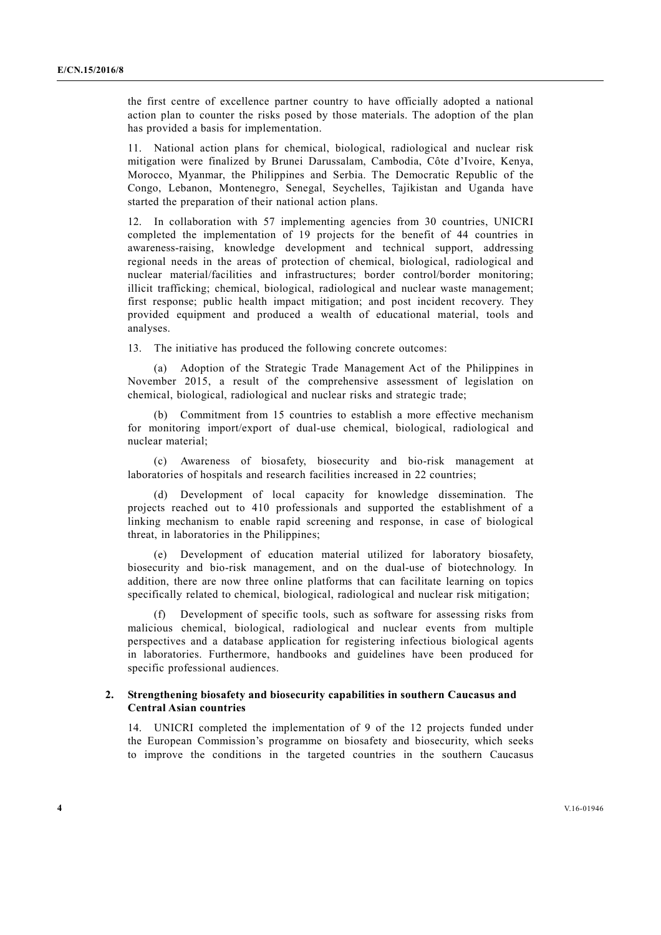the first centre of excellence partner country to have officially adopted a national action plan to counter the risks posed by those materials. The adoption of the plan has provided a basis for implementation.

11. National action plans for chemical, biological, radiological and nuclear risk mitigation were finalized by Brunei Darussalam, Cambodia, Côte d'Ivoire, Kenya, Morocco, Myanmar, the Philippines and Serbia. The Democratic Republic of the Congo, Lebanon, Montenegro, Senegal, Seychelles, Tajikistan and Uganda have started the preparation of their national action plans.

12. In collaboration with 57 implementing agencies from 30 countries, UNICRI completed the implementation of 19 projects for the benefit of 44 countries in awareness-raising, knowledge development and technical support, addressing regional needs in the areas of protection of chemical, biological, radiological and nuclear material/facilities and infrastructures; border control/border monitoring; illicit trafficking; chemical, biological, radiological and nuclear waste management; first response; public health impact mitigation; and post incident recovery. They provided equipment and produced a wealth of educational material, tools and analyses.

13. The initiative has produced the following concrete outcomes:

 (a) Adoption of the Strategic Trade Management Act of the Philippines in November 2015, a result of the comprehensive assessment of legislation on chemical, biological, radiological and nuclear risks and strategic trade;

 (b) Commitment from 15 countries to establish a more effective mechanism for monitoring import/export of dual-use chemical, biological, radiological and nuclear material;

 (c) Awareness of biosafety, biosecurity and bio-risk management at laboratories of hospitals and research facilities increased in 22 countries;

 (d) Development of local capacity for knowledge dissemination. The projects reached out to 410 professionals and supported the establishment of a linking mechanism to enable rapid screening and response, in case of biological threat, in laboratories in the Philippines;

 (e) Development of education material utilized for laboratory biosafety, biosecurity and bio-risk management, and on the dual-use of biotechnology. In addition, there are now three online platforms that can facilitate learning on topics specifically related to chemical, biological, radiological and nuclear risk mitigation;

 (f) Development of specific tools, such as software for assessing risks from malicious chemical, biological, radiological and nuclear events from multiple perspectives and a database application for registering infectious biological agents in laboratories. Furthermore, handbooks and guidelines have been produced for specific professional audiences.

#### **2. Strengthening biosafety and biosecurity capabilities in southern Caucasus and Central Asian countries**

14. UNICRI completed the implementation of 9 of the 12 projects funded under the European Commission's programme on biosafety and biosecurity, which seeks to improve the conditions in the targeted countries in the southern Caucasus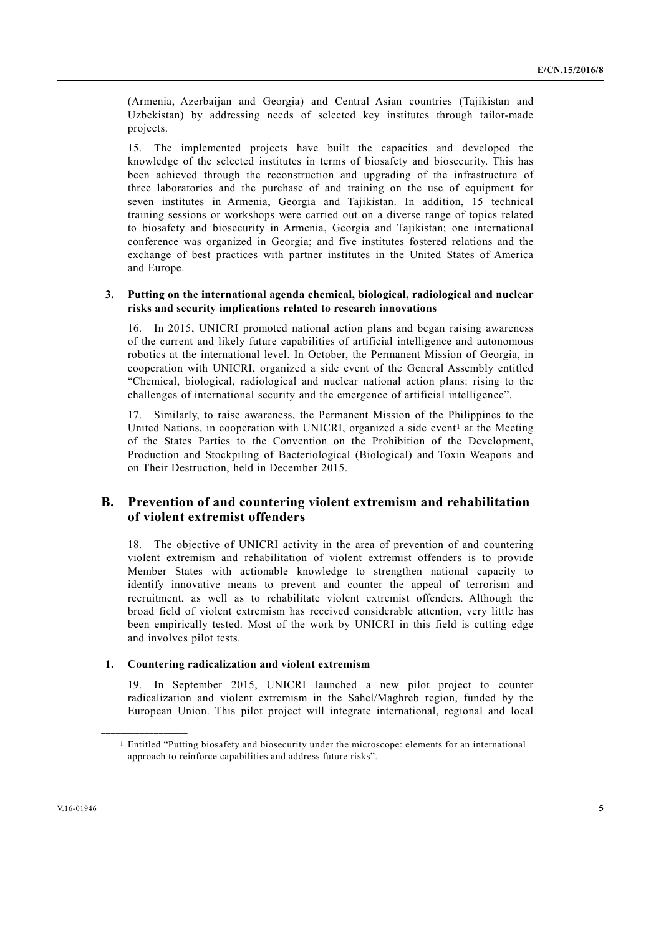(Armenia, Azerbaijan and Georgia) and Central Asian countries (Tajikistan and Uzbekistan) by addressing needs of selected key institutes through tailor-made projects.

15. The implemented projects have built the capacities and developed the knowledge of the selected institutes in terms of biosafety and biosecurity. This has been achieved through the reconstruction and upgrading of the infrastructure of three laboratories and the purchase of and training on the use of equipment for seven institutes in Armenia, Georgia and Tajikistan. In addition, 15 technical training sessions or workshops were carried out on a diverse range of topics related to biosafety and biosecurity in Armenia, Georgia and Tajikistan; one international conference was organized in Georgia; and five institutes fostered relations and the exchange of best practices with partner institutes in the United States of America and Europe.

#### **3. Putting on the international agenda chemical, biological, radiological and nuclear risks and security implications related to research innovations**

16. In 2015, UNICRI promoted national action plans and began raising awareness of the current and likely future capabilities of artificial intelligence and autonomous robotics at the international level. In October, the Permanent Mission of Georgia, in cooperation with UNICRI, organized a side event of the General Assembly entitled "Chemical, biological, radiological and nuclear national action plans: rising to the challenges of international security and the emergence of artificial intelligence".

17. Similarly, to raise awareness, the Permanent Mission of the Philippines to the United Nations, in cooperation with UNICRI, organized a side event<sup>1</sup> at the Meeting of the States Parties to the Convention on the Prohibition of the Development, Production and Stockpiling of Bacteriological (Biological) and Toxin Weapons and on Their Destruction, held in December 2015.

## **B. Prevention of and countering violent extremism and rehabilitation of violent extremist offenders**

18. The objective of UNICRI activity in the area of prevention of and countering violent extremism and rehabilitation of violent extremist offenders is to provide Member States with actionable knowledge to strengthen national capacity to identify innovative means to prevent and counter the appeal of terrorism and recruitment, as well as to rehabilitate violent extremist offenders. Although the broad field of violent extremism has received considerable attention, very little has been empirically tested. Most of the work by UNICRI in this field is cutting edge and involves pilot tests.

#### **1. Countering radicalization and violent extremism**

19. In September 2015, UNICRI launched a new pilot project to counter radicalization and violent extremism in the Sahel/Maghreb region, funded by the European Union. This pilot project will integrate international, regional and local

<sup>1</sup> Entitled "Putting biosafety and biosecurity under the microscope: elements for an international approach to reinforce capabilities and address future risks".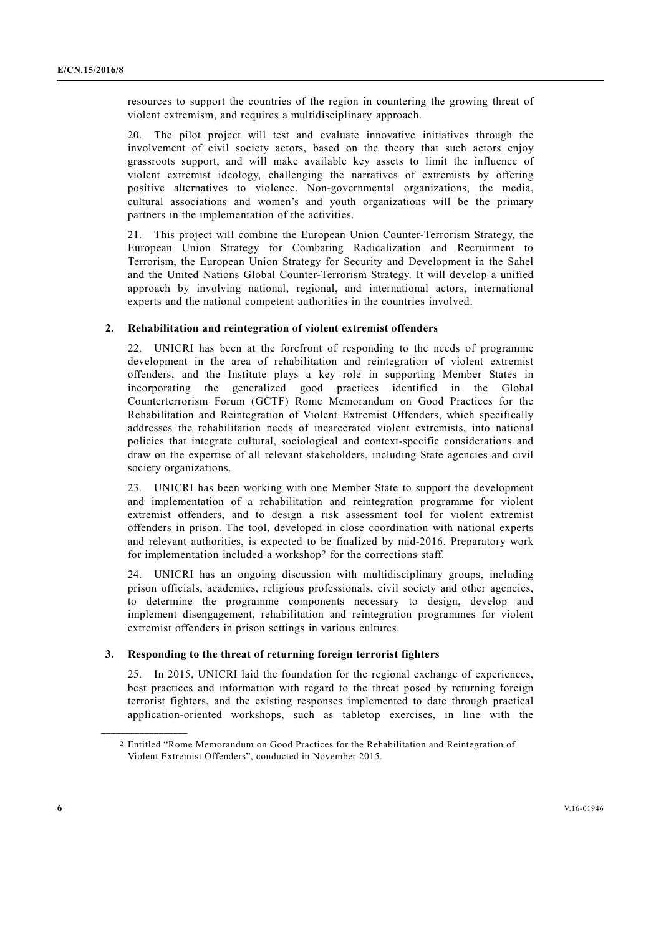resources to support the countries of the region in countering the growing threat of violent extremism, and requires a multidisciplinary approach.

20. The pilot project will test and evaluate innovative initiatives through the involvement of civil society actors, based on the theory that such actors enjoy grassroots support, and will make available key assets to limit the influence of violent extremist ideology, challenging the narratives of extremists by offering positive alternatives to violence. Non-governmental organizations, the media, cultural associations and women's and youth organizations will be the primary partners in the implementation of the activities.

21. This project will combine the European Union Counter-Terrorism Strategy, the European Union Strategy for Combating Radicalization and Recruitment to Terrorism, the European Union Strategy for Security and Development in the Sahel and the United Nations Global Counter-Terrorism Strategy. It will develop a unified approach by involving national, regional, and international actors, international experts and the national competent authorities in the countries involved.

#### **2. Rehabilitation and reintegration of violent extremist offenders**

22. UNICRI has been at the forefront of responding to the needs of programme development in the area of rehabilitation and reintegration of violent extremist offenders, and the Institute plays a key role in supporting Member States in incorporating the generalized good practices identified in the Global Counterterrorism Forum (GCTF) Rome Memorandum on Good Practices for the Rehabilitation and Reintegration of Violent Extremist Offenders, which specifically addresses the rehabilitation needs of incarcerated violent extremists, into national policies that integrate cultural, sociological and context-specific considerations and draw on the expertise of all relevant stakeholders, including State agencies and civil society organizations.

23. UNICRI has been working with one Member State to support the development and implementation of a rehabilitation and reintegration programme for violent extremist offenders, and to design a risk assessment tool for violent extremist offenders in prison. The tool, developed in close coordination with national experts and relevant authorities, is expected to be finalized by mid-2016. Preparatory work for implementation included a workshop2 for the corrections staff.

24. UNICRI has an ongoing discussion with multidisciplinary groups, including prison officials, academics, religious professionals, civil society and other agencies, to determine the programme components necessary to design, develop and implement disengagement, rehabilitation and reintegration programmes for violent extremist offenders in prison settings in various cultures.

#### **3. Responding to the threat of returning foreign terrorist fighters**

25. In 2015, UNICRI laid the foundation for the regional exchange of experiences, best practices and information with regard to the threat posed by returning foreign terrorist fighters, and the existing responses implemented to date through practical application-oriented workshops, such as tabletop exercises, in line with the

<sup>2</sup> Entitled "Rome Memorandum on Good Practices for the Rehabilitation and Reintegration of Violent Extremist Offenders", conducted in November 2015.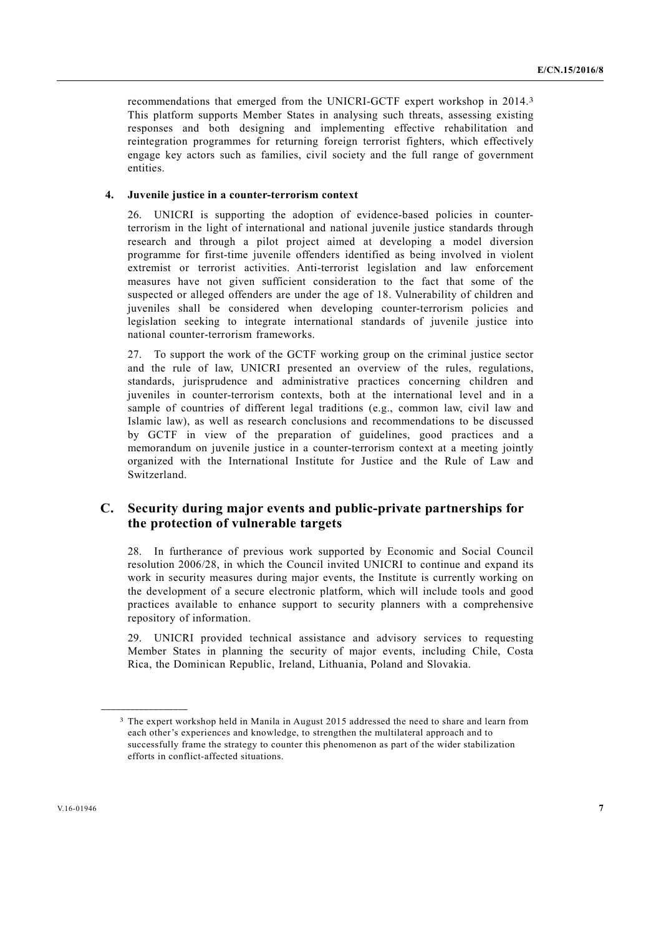recommendations that emerged from the UNICRI-GCTF expert workshop in 2014.3 This platform supports Member States in analysing such threats, assessing existing responses and both designing and implementing effective rehabilitation and reintegration programmes for returning foreign terrorist fighters, which effectively engage key actors such as families, civil society and the full range of government entities.

#### **4. Juvenile justice in a counter-terrorism context**

26. UNICRI is supporting the adoption of evidence-based policies in counterterrorism in the light of international and national juvenile justice standards through research and through a pilot project aimed at developing a model diversion programme for first-time juvenile offenders identified as being involved in violent extremist or terrorist activities. Anti-terrorist legislation and law enforcement measures have not given sufficient consideration to the fact that some of the suspected or alleged offenders are under the age of 18. Vulnerability of children and juveniles shall be considered when developing counter-terrorism policies and legislation seeking to integrate international standards of juvenile justice into national counter-terrorism frameworks.

27. To support the work of the GCTF working group on the criminal justice sector and the rule of law, UNICRI presented an overview of the rules, regulations, standards, jurisprudence and administrative practices concerning children and juveniles in counter-terrorism contexts, both at the international level and in a sample of countries of different legal traditions (e.g., common law, civil law and Islamic law), as well as research conclusions and recommendations to be discussed by GCTF in view of the preparation of guidelines, good practices and a memorandum on juvenile justice in a counter-terrorism context at a meeting jointly organized with the International Institute for Justice and the Rule of Law and Switzerland.

## **C. Security during major events and public-private partnerships for the protection of vulnerable targets**

28. In furtherance of previous work supported by Economic and Social Council resolution 2006/28, in which the Council invited UNICRI to continue and expand its work in security measures during major events, the Institute is currently working on the development of a secure electronic platform, which will include tools and good practices available to enhance support to security planners with a comprehensive repository of information.

29. UNICRI provided technical assistance and advisory services to requesting Member States in planning the security of major events, including Chile, Costa Rica, the Dominican Republic, Ireland, Lithuania, Poland and Slovakia.

<sup>3</sup> The expert workshop held in Manila in August 2015 addressed the need to share and learn from each other's experiences and knowledge, to strengthen the multilateral approach and to successfully frame the strategy to counter this phenomenon as part of the wider stabilization efforts in conflict-affected situations.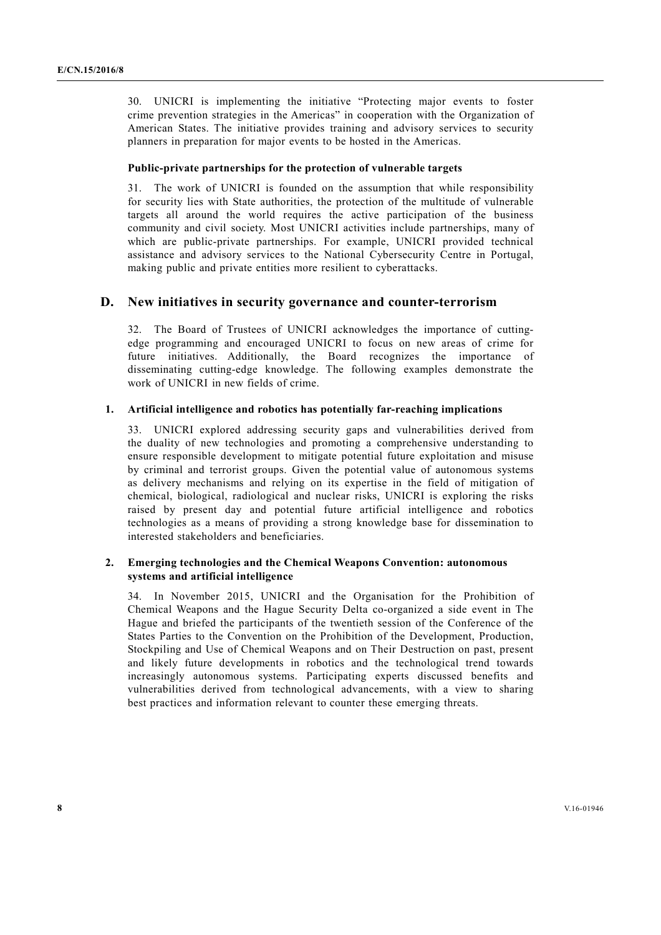30. UNICRI is implementing the initiative "Protecting major events to foster crime prevention strategies in the Americas" in cooperation with the Organization of American States. The initiative provides training and advisory services to security planners in preparation for major events to be hosted in the Americas.

#### **Public-private partnerships for the protection of vulnerable targets**

31. The work of UNICRI is founded on the assumption that while responsibility for security lies with State authorities, the protection of the multitude of vulnerable targets all around the world requires the active participation of the business community and civil society. Most UNICRI activities include partnerships, many of which are public-private partnerships. For example, UNICRI provided technical assistance and advisory services to the National Cybersecurity Centre in Portugal, making public and private entities more resilient to cyberattacks.

#### **D. New initiatives in security governance and counter-terrorism**

32. The Board of Trustees of UNICRI acknowledges the importance of cuttingedge programming and encouraged UNICRI to focus on new areas of crime for future initiatives. Additionally, the Board recognizes the importance of disseminating cutting-edge knowledge. The following examples demonstrate the work of UNICRI in new fields of crime.

#### **1. Artificial intelligence and robotics has potentially far-reaching implications**

33. UNICRI explored addressing security gaps and vulnerabilities derived from the duality of new technologies and promoting a comprehensive understanding to ensure responsible development to mitigate potential future exploitation and misuse by criminal and terrorist groups. Given the potential value of autonomous systems as delivery mechanisms and relying on its expertise in the field of mitigation of chemical, biological, radiological and nuclear risks, UNICRI is exploring the risks raised by present day and potential future artificial intelligence and robotics technologies as a means of providing a strong knowledge base for dissemination to interested stakeholders and beneficiaries.

#### **2. Emerging technologies and the Chemical Weapons Convention: autonomous systems and artificial intelligence**

34. In November 2015, UNICRI and the Organisation for the Prohibition of Chemical Weapons and the Hague Security Delta co-organized a side event in The Hague and briefed the participants of the twentieth session of the Conference of the States Parties to the Convention on the Prohibition of the Development, Production, Stockpiling and Use of Chemical Weapons and on Their Destruction on past, present and likely future developments in robotics and the technological trend towards increasingly autonomous systems. Participating experts discussed benefits and vulnerabilities derived from technological advancements, with a view to sharing best practices and information relevant to counter these emerging threats.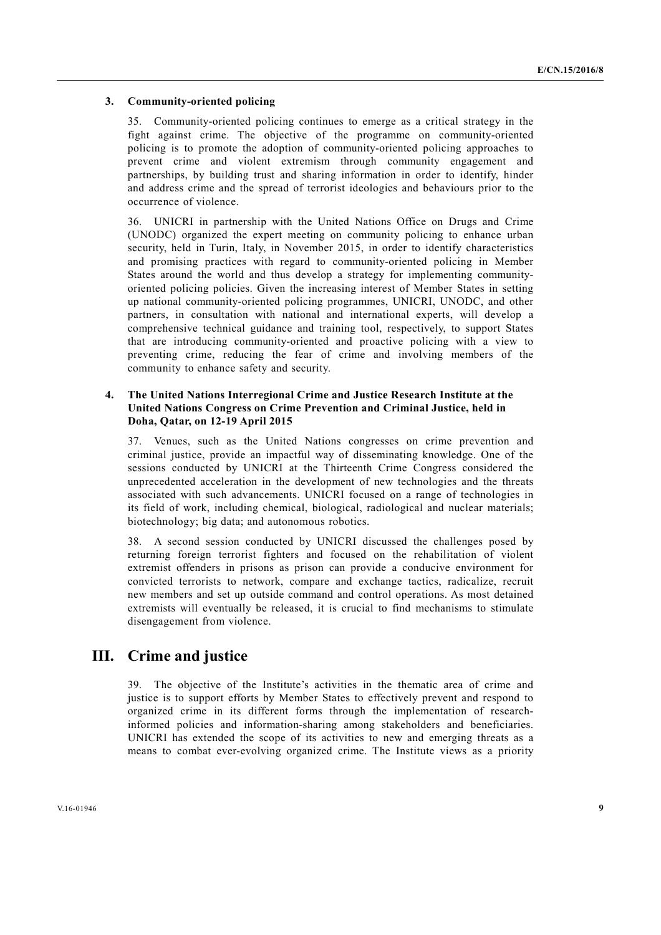#### **3. Community-oriented policing**

35. Community-oriented policing continues to emerge as a critical strategy in the fight against crime. The objective of the programme on community-oriented policing is to promote the adoption of community-oriented policing approaches to prevent crime and violent extremism through community engagement and partnerships, by building trust and sharing information in order to identify, hinder and address crime and the spread of terrorist ideologies and behaviours prior to the occurrence of violence.

36. UNICRI in partnership with the United Nations Office on Drugs and Crime (UNODC) organized the expert meeting on community policing to enhance urban security, held in Turin, Italy, in November 2015, in order to identify characteristics and promising practices with regard to community-oriented policing in Member States around the world and thus develop a strategy for implementing communityoriented policing policies. Given the increasing interest of Member States in setting up national community-oriented policing programmes, UNICRI, UNODC, and other partners, in consultation with national and international experts, will develop a comprehensive technical guidance and training tool, respectively, to support States that are introducing community-oriented and proactive policing with a view to preventing crime, reducing the fear of crime and involving members of the community to enhance safety and security.

#### **4. The United Nations Interregional Crime and Justice Research Institute at the United Nations Congress on Crime Prevention and Criminal Justice, held in Doha, Qatar, on 12-19 April 2015**

37. Venues, such as the United Nations congresses on crime prevention and criminal justice, provide an impactful way of disseminating knowledge. One of the sessions conducted by UNICRI at the Thirteenth Crime Congress considered the unprecedented acceleration in the development of new technologies and the threats associated with such advancements. UNICRI focused on a range of technologies in its field of work, including chemical, biological, radiological and nuclear materials; biotechnology; big data; and autonomous robotics.

38. A second session conducted by UNICRI discussed the challenges posed by returning foreign terrorist fighters and focused on the rehabilitation of violent extremist offenders in prisons as prison can provide a conducive environment for convicted terrorists to network, compare and exchange tactics, radicalize, recruit new members and set up outside command and control operations. As most detained extremists will eventually be released, it is crucial to find mechanisms to stimulate disengagement from violence.

## **III. Crime and justice**

39. The objective of the Institute's activities in the thematic area of crime and justice is to support efforts by Member States to effectively prevent and respond to organized crime in its different forms through the implementation of researchinformed policies and information-sharing among stakeholders and beneficiaries. UNICRI has extended the scope of its activities to new and emerging threats as a means to combat ever-evolving organized crime. The Institute views as a priority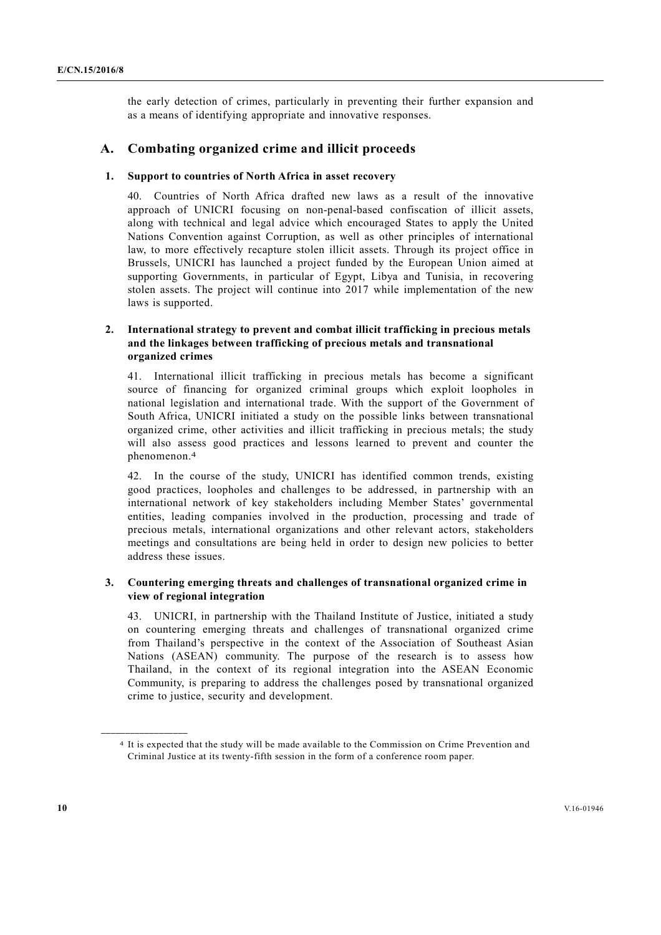the early detection of crimes, particularly in preventing their further expansion and as a means of identifying appropriate and innovative responses.

#### **A. Combating organized crime and illicit proceeds**

#### **1. Support to countries of North Africa in asset recovery**

40. Countries of North Africa drafted new laws as a result of the innovative approach of UNICRI focusing on non-penal-based confiscation of illicit assets, along with technical and legal advice which encouraged States to apply the United Nations Convention against Corruption, as well as other principles of international law, to more effectively recapture stolen illicit assets. Through its project office in Brussels, UNICRI has launched a project funded by the European Union aimed at supporting Governments, in particular of Egypt, Libya and Tunisia, in recovering stolen assets. The project will continue into 2017 while implementation of the new laws is supported.

#### **2. International strategy to prevent and combat illicit trafficking in precious metals and the linkages between trafficking of precious metals and transnational organized crimes**

41. International illicit trafficking in precious metals has become a significant source of financing for organized criminal groups which exploit loopholes in national legislation and international trade. With the support of the Government of South Africa, UNICRI initiated a study on the possible links between transnational organized crime, other activities and illicit trafficking in precious metals; the study will also assess good practices and lessons learned to prevent and counter the phenomenon.4

42. In the course of the study, UNICRI has identified common trends, existing good practices, loopholes and challenges to be addressed, in partnership with an international network of key stakeholders including Member States' governmental entities, leading companies involved in the production, processing and trade of precious metals, international organizations and other relevant actors, stakeholders meetings and consultations are being held in order to design new policies to better address these issues.

#### **3. Countering emerging threats and challenges of transnational organized crime in view of regional integration**

43. UNICRI, in partnership with the Thailand Institute of Justice, initiated a study on countering emerging threats and challenges of transnational organized crime from Thailand's perspective in the context of the Association of Southeast Asian Nations (ASEAN) community. The purpose of the research is to assess how Thailand, in the context of its regional integration into the ASEAN Economic Community, is preparing to address the challenges posed by transnational organized crime to justice, security and development.

<sup>4</sup> It is expected that the study will be made available to the Commission on Crime Prevention and Criminal Justice at its twenty-fifth session in the form of a conference room paper.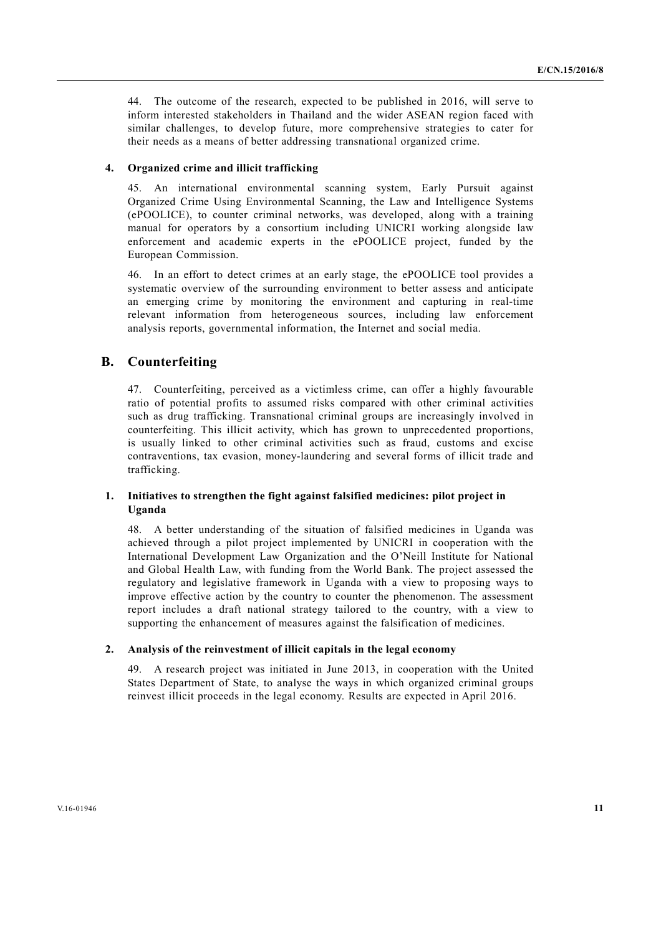44. The outcome of the research, expected to be published in 2016, will serve to inform interested stakeholders in Thailand and the wider ASEAN region faced with similar challenges, to develop future, more comprehensive strategies to cater for their needs as a means of better addressing transnational organized crime.

#### **4. Organized crime and illicit trafficking**

45. An international environmental scanning system, Early Pursuit against Organized Crime Using Environmental Scanning, the Law and Intelligence Systems (ePOOLICE), to counter criminal networks, was developed, along with a training manual for operators by a consortium including UNICRI working alongside law enforcement and academic experts in the ePOOLICE project, funded by the European Commission.

46. In an effort to detect crimes at an early stage, the ePOOLICE tool provides a systematic overview of the surrounding environment to better assess and anticipate an emerging crime by monitoring the environment and capturing in real-time relevant information from heterogeneous sources, including law enforcement analysis reports, governmental information, the Internet and social media.

## **B. Counterfeiting**

47. Counterfeiting, perceived as a victimless crime, can offer a highly favourable ratio of potential profits to assumed risks compared with other criminal activities such as drug trafficking. Transnational criminal groups are increasingly involved in counterfeiting. This illicit activity, which has grown to unprecedented proportions, is usually linked to other criminal activities such as fraud, customs and excise contraventions, tax evasion, money-laundering and several forms of illicit trade and trafficking.

#### **1. Initiatives to strengthen the fight against falsified medicines: pilot project in Uganda**

48. A better understanding of the situation of falsified medicines in Uganda was achieved through a pilot project implemented by UNICRI in cooperation with the International Development Law Organization and the O'Neill Institute for National and Global Health Law, with funding from the World Bank. The project assessed the regulatory and legislative framework in Uganda with a view to proposing ways to improve effective action by the country to counter the phenomenon. The assessment report includes a draft national strategy tailored to the country, with a view to supporting the enhancement of measures against the falsification of medicines.

#### **2. Analysis of the reinvestment of illicit capitals in the legal economy**

49. A research project was initiated in June 2013, in cooperation with the United States Department of State, to analyse the ways in which organized criminal groups reinvest illicit proceeds in the legal economy. Results are expected in April 2016.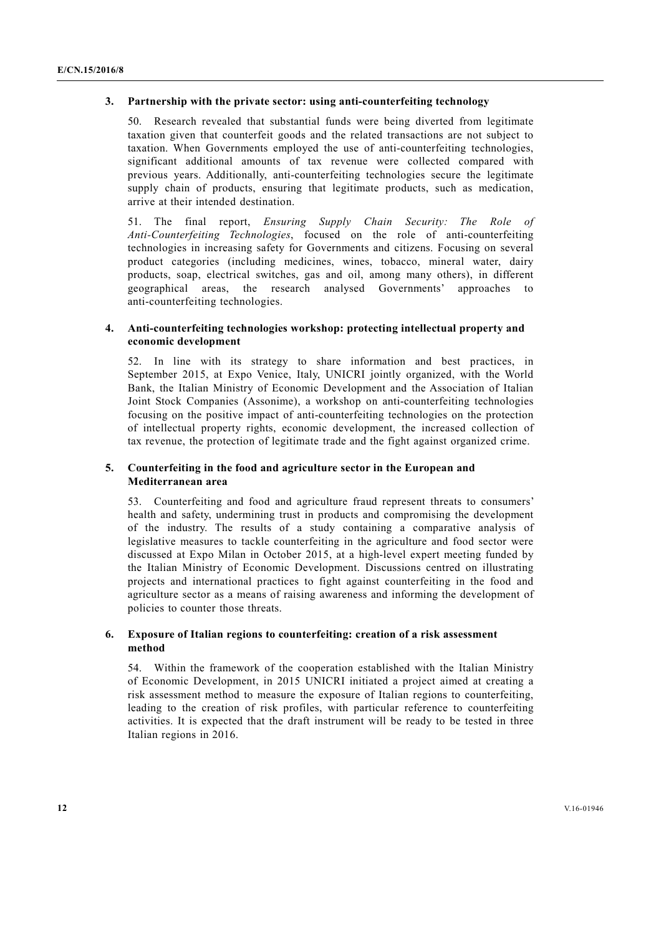#### **3. Partnership with the private sector: using anti-counterfeiting technology**

50. Research revealed that substantial funds were being diverted from legitimate taxation given that counterfeit goods and the related transactions are not subject to taxation. When Governments employed the use of anti-counterfeiting technologies, significant additional amounts of tax revenue were collected compared with previous years. Additionally, anti-counterfeiting technologies secure the legitimate supply chain of products, ensuring that legitimate products, such as medication, arrive at their intended destination.

51. The final report, *Ensuring Supply Chain Security: The Role of Anti-Counterfeiting Technologies*, focused on the role of anti-counterfeiting technologies in increasing safety for Governments and citizens. Focusing on several product categories (including medicines, wines, tobacco, mineral water, dairy products, soap, electrical switches, gas and oil, among many others), in different geographical areas, the research analysed Governments' approaches to anti-counterfeiting technologies.

#### **4. Anti-counterfeiting technologies workshop: protecting intellectual property and economic development**

52. In line with its strategy to share information and best practices, in September 2015, at Expo Venice, Italy, UNICRI jointly organized, with the World Bank, the Italian Ministry of Economic Development and the Association of Italian Joint Stock Companies (Assonime), a workshop on anti-counterfeiting technologies focusing on the positive impact of anti-counterfeiting technologies on the protection of intellectual property rights, economic development, the increased collection of tax revenue, the protection of legitimate trade and the fight against organized crime.

#### **5. Counterfeiting in the food and agriculture sector in the European and Mediterranean area**

53. Counterfeiting and food and agriculture fraud represent threats to consumers' health and safety, undermining trust in products and compromising the development of the industry. The results of a study containing a comparative analysis of legislative measures to tackle counterfeiting in the agriculture and food sector were discussed at Expo Milan in October 2015, at a high-level expert meeting funded by the Italian Ministry of Economic Development. Discussions centred on illustrating projects and international practices to fight against counterfeiting in the food and agriculture sector as a means of raising awareness and informing the development of policies to counter those threats.

#### **6. Exposure of Italian regions to counterfeiting: creation of a risk assessment method**

54. Within the framework of the cooperation established with the Italian Ministry of Economic Development, in 2015 UNICRI initiated a project aimed at creating a risk assessment method to measure the exposure of Italian regions to counterfeiting, leading to the creation of risk profiles, with particular reference to counterfeiting activities. It is expected that the draft instrument will be ready to be tested in three Italian regions in 2016.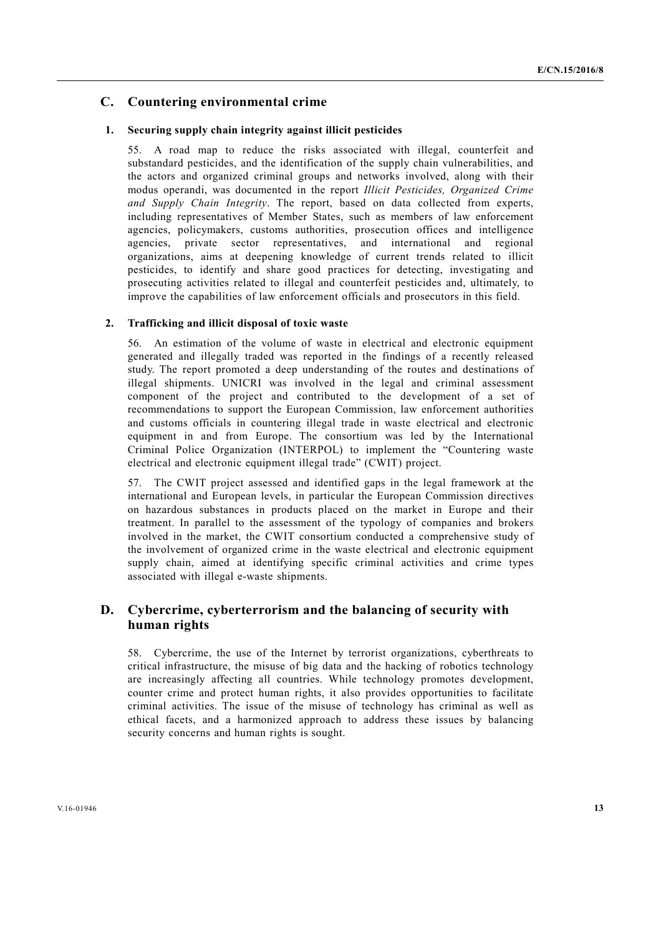## **C. Countering environmental crime**

#### **1. Securing supply chain integrity against illicit pesticides**

55. A road map to reduce the risks associated with illegal, counterfeit and substandard pesticides, and the identification of the supply chain vulnerabilities, and the actors and organized criminal groups and networks involved, along with their modus operandi, was documented in the report *Illicit Pesticides, Organized Crime and Supply Chain Integrity*. The report, based on data collected from experts, including representatives of Member States, such as members of law enforcement agencies, policymakers, customs authorities, prosecution offices and intelligence agencies, private sector representatives, and international and regional organizations, aims at deepening knowledge of current trends related to illicit pesticides, to identify and share good practices for detecting, investigating and prosecuting activities related to illegal and counterfeit pesticides and, ultimately, to improve the capabilities of law enforcement officials and prosecutors in this field.

#### **2. Trafficking and illicit disposal of toxic waste**

56. An estimation of the volume of waste in electrical and electronic equipment generated and illegally traded was reported in the findings of a recently released study. The report promoted a deep understanding of the routes and destinations of illegal shipments. UNICRI was involved in the legal and criminal assessment component of the project and contributed to the development of a set of recommendations to support the European Commission, law enforcement authorities and customs officials in countering illegal trade in waste electrical and electronic equipment in and from Europe. The consortium was led by the International Criminal Police Organization (INTERPOL) to implement the "Countering waste electrical and electronic equipment illegal trade" (CWIT) project.

57. The CWIT project assessed and identified gaps in the legal framework at the international and European levels, in particular the European Commission directives on hazardous substances in products placed on the market in Europe and their treatment. In parallel to the assessment of the typology of companies and brokers involved in the market, the CWIT consortium conducted a comprehensive study of the involvement of organized crime in the waste electrical and electronic equipment supply chain, aimed at identifying specific criminal activities and crime types associated with illegal e-waste shipments.

## **D. Cybercrime, cyberterrorism and the balancing of security with human rights**

58. Cybercrime, the use of the Internet by terrorist organizations, cyberthreats to critical infrastructure, the misuse of big data and the hacking of robotics technology are increasingly affecting all countries. While technology promotes development, counter crime and protect human rights, it also provides opportunities to facilitate criminal activities. The issue of the misuse of technology has criminal as well as ethical facets, and a harmonized approach to address these issues by balancing security concerns and human rights is sought.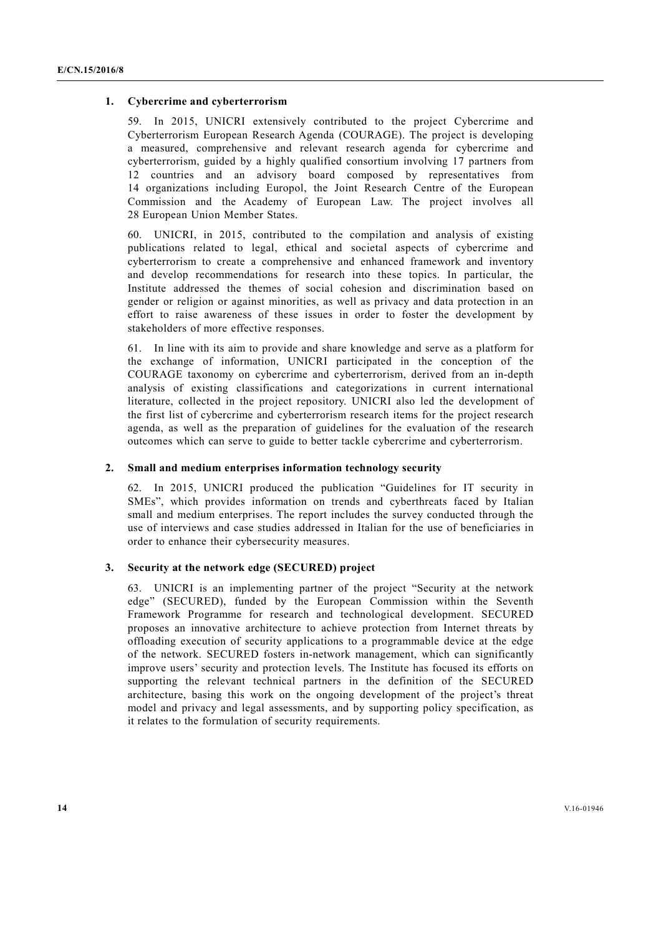#### **1. Cybercrime and cyberterrorism**

59. In 2015, UNICRI extensively contributed to the project Cybercrime and Cyberterrorism European Research Agenda (COURAGE). The project is developing a measured, comprehensive and relevant research agenda for cybercrime and cyberterrorism, guided by a highly qualified consortium involving 17 partners from 12 countries and an advisory board composed by representatives from 14 organizations including Europol, the Joint Research Centre of the European Commission and the Academy of European Law. The project involves all 28 European Union Member States.

60. UNICRI, in 2015, contributed to the compilation and analysis of existing publications related to legal, ethical and societal aspects of cybercrime and cyberterrorism to create a comprehensive and enhanced framework and inventory and develop recommendations for research into these topics. In particular, the Institute addressed the themes of social cohesion and discrimination based on gender or religion or against minorities, as well as privacy and data protection in an effort to raise awareness of these issues in order to foster the development by stakeholders of more effective responses.

61. In line with its aim to provide and share knowledge and serve as a platform for the exchange of information, UNICRI participated in the conception of the COURAGE taxonomy on cybercrime and cyberterrorism, derived from an in-depth analysis of existing classifications and categorizations in current international literature, collected in the project repository. UNICRI also led the development of the first list of cybercrime and cyberterrorism research items for the project research agenda, as well as the preparation of guidelines for the evaluation of the research outcomes which can serve to guide to better tackle cybercrime and cyberterrorism.

#### **2. Small and medium enterprises information technology security**

62. In 2015, UNICRI produced the publication "Guidelines for IT security in SMEs", which provides information on trends and cyberthreats faced by Italian small and medium enterprises. The report includes the survey conducted through the use of interviews and case studies addressed in Italian for the use of beneficiaries in order to enhance their cybersecurity measures.

#### **3. Security at the network edge (SECURED) project**

63. UNICRI is an implementing partner of the project "Security at the network edge" (SECURED), funded by the European Commission within the Seventh Framework Programme for research and technological development. SECURED proposes an innovative architecture to achieve protection from Internet threats by offloading execution of security applications to a programmable device at the edge of the network. SECURED fosters in-network management, which can significantly improve users' security and protection levels. The Institute has focused its efforts on supporting the relevant technical partners in the definition of the SECURED architecture, basing this work on the ongoing development of the project's threat model and privacy and legal assessments, and by supporting policy specification, as it relates to the formulation of security requirements.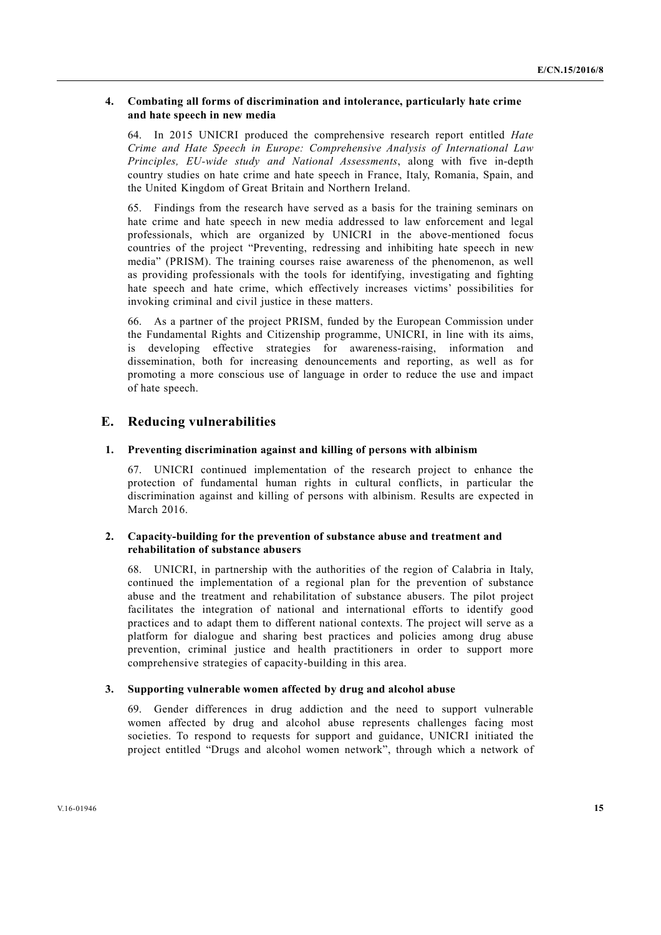#### **4. Combating all forms of discrimination and intolerance, particularly hate crime and hate speech in new media**

64. In 2015 UNICRI produced the comprehensive research report entitled *Hate Crime and Hate Speech in Europe: Comprehensive Analysis of International Law Principles, EU-wide study and National Assessments*, along with five in-depth country studies on hate crime and hate speech in France, Italy, Romania, Spain, and the United Kingdom of Great Britain and Northern Ireland.

65. Findings from the research have served as a basis for the training seminars on hate crime and hate speech in new media addressed to law enforcement and legal professionals, which are organized by UNICRI in the above-mentioned focus countries of the project "Preventing, redressing and inhibiting hate speech in new media" (PRISM). The training courses raise awareness of the phenomenon, as well as providing professionals with the tools for identifying, investigating and fighting hate speech and hate crime, which effectively increases victims' possibilities for invoking criminal and civil justice in these matters.

66. As a partner of the project PRISM, funded by the European Commission under the Fundamental Rights and Citizenship programme, UNICRI, in line with its aims, is developing effective strategies for awareness-raising, information and dissemination, both for increasing denouncements and reporting, as well as for promoting a more conscious use of language in order to reduce the use and impact of hate speech.

## **E. Reducing vulnerabilities**

#### **1. Preventing discrimination against and killing of persons with albinism**

67. UNICRI continued implementation of the research project to enhance the protection of fundamental human rights in cultural conflicts, in particular the discrimination against and killing of persons with albinism. Results are expected in March 2016

#### **2. Capacity-building for the prevention of substance abuse and treatment and rehabilitation of substance abusers**

68. UNICRI, in partnership with the authorities of the region of Calabria in Italy, continued the implementation of a regional plan for the prevention of substance abuse and the treatment and rehabilitation of substance abusers. The pilot project facilitates the integration of national and international efforts to identify good practices and to adapt them to different national contexts. The project will serve as a platform for dialogue and sharing best practices and policies among drug abuse prevention, criminal justice and health practitioners in order to support more comprehensive strategies of capacity-building in this area.

#### **3. Supporting vulnerable women affected by drug and alcohol abuse**

69. Gender differences in drug addiction and the need to support vulnerable women affected by drug and alcohol abuse represents challenges facing most societies. To respond to requests for support and guidance, UNICRI initiated the project entitled "Drugs and alcohol women network", through which a network of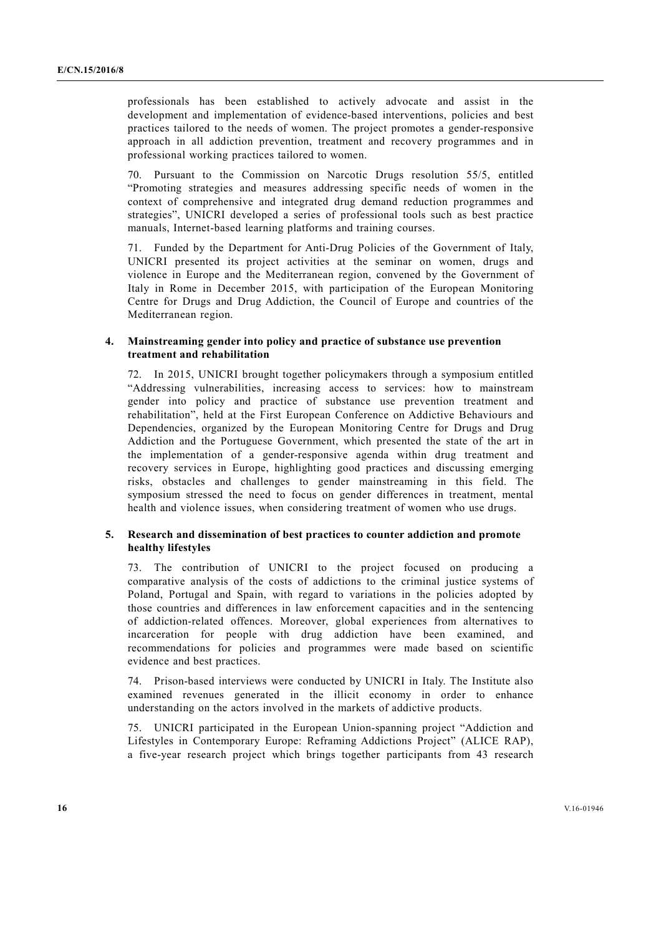professionals has been established to actively advocate and assist in the development and implementation of evidence-based interventions, policies and best practices tailored to the needs of women. The project promotes a gender-responsive approach in all addiction prevention, treatment and recovery programmes and in professional working practices tailored to women.

70. Pursuant to the Commission on Narcotic Drugs resolution 55/5, entitled "Promoting strategies and measures addressing specific needs of women in the context of comprehensive and integrated drug demand reduction programmes and strategies", UNICRI developed a series of professional tools such as best practice manuals, Internet-based learning platforms and training courses.

71. Funded by the Department for Anti-Drug Policies of the Government of Italy, UNICRI presented its project activities at the seminar on women, drugs and violence in Europe and the Mediterranean region, convened by the Government of Italy in Rome in December 2015, with participation of the European Monitoring Centre for Drugs and Drug Addiction, the Council of Europe and countries of the Mediterranean region.

#### **4. Mainstreaming gender into policy and practice of substance use prevention treatment and rehabilitation**

72. In 2015, UNICRI brought together policymakers through a symposium entitled "Addressing vulnerabilities, increasing access to services: how to mainstream gender into policy and practice of substance use prevention treatment and rehabilitation", held at the First European Conference on Addictive Behaviours and Dependencies, organized by the European Monitoring Centre for Drugs and Drug Addiction and the Portuguese Government, which presented the state of the art in the implementation of a gender-responsive agenda within drug treatment and recovery services in Europe, highlighting good practices and discussing emerging risks, obstacles and challenges to gender mainstreaming in this field. The symposium stressed the need to focus on gender differences in treatment, mental health and violence issues, when considering treatment of women who use drugs.

#### **5. Research and dissemination of best practices to counter addiction and promote healthy lifestyles**

73. The contribution of UNICRI to the project focused on producing a comparative analysis of the costs of addictions to the criminal justice systems of Poland, Portugal and Spain, with regard to variations in the policies adopted by those countries and differences in law enforcement capacities and in the sentencing of addiction-related offences. Moreover, global experiences from alternatives to incarceration for people with drug addiction have been examined, and recommendations for policies and programmes were made based on scientific evidence and best practices.

74. Prison-based interviews were conducted by UNICRI in Italy. The Institute also examined revenues generated in the illicit economy in order to enhance understanding on the actors involved in the markets of addictive products.

75. UNICRI participated in the European Union-spanning project "Addiction and Lifestyles in Contemporary Europe: Reframing Addictions Project" (ALICE RAP), a five-year research project which brings together participants from 43 research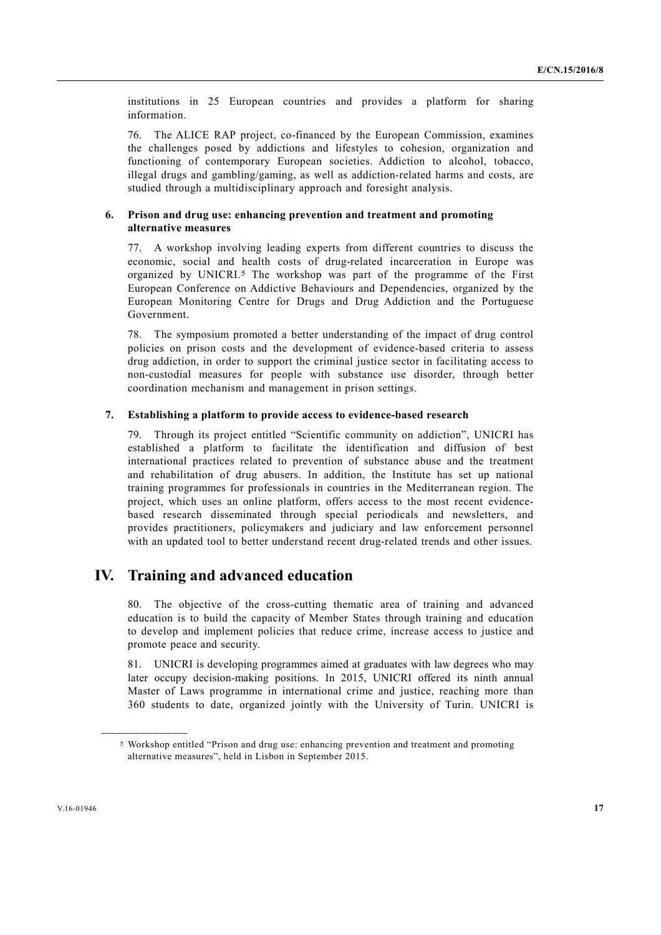institutions in 25 European countries and provides a platform for sharing information.

76. The ALICE RAP project, co-financed by the European Commission, examines the challenges posed by addictions and lifestyles to cohesion, organization and functioning of contemporary European societies. Addiction to alcohol, tobacco, illegal drugs and gambling/gaming, as well as addiction-related harms and costs, are studied through a multidisciplinary approach and foresight analysis.

#### **6. Prison and drug use: enhancing prevention and treatment and promoting alternative measures**

77. A workshop involving leading experts from different countries to discuss the economic, social and health costs of drug-related incarceration in Europe was organized by UNICRI.5 The workshop was part of the programme of the First European Conference on Addictive Behaviours and Dependencies, organized by the European Monitoring Centre for Drugs and Drug Addiction and the Portuguese Government.

78. The symposium promoted a better understanding of the impact of drug control policies on prison costs and the development of evidence-based criteria to assess drug addiction, in order to support the criminal justice sector in facilitating access to non-custodial measures for people with substance use disorder, through better coordination mechanism and management in prison settings.

#### **7. Establishing a platform to provide access to evidence-based research**

79. Through its project entitled "Scientific community on addiction", UNICRI has established a platform to facilitate the identification and diffusion of best international practices related to prevention of substance abuse and the treatment and rehabilitation of drug abusers. In addition, the Institute has set up national training programmes for professionals in countries in the Mediterranean region. The project, which uses an online platform, offers access to the most recent evidencebased research disseminated through special periodicals and newsletters, and provides practitioners, policymakers and judiciary and law enforcement personnel with an updated tool to better understand recent drug-related trends and other issues.

# **IV. Training and advanced education**

80. The objective of the cross-cutting thematic area of training and advanced education is to build the capacity of Member States through training and education to develop and implement policies that reduce crime, increase access to justice and promote peace and security.

81. UNICRI is developing programmes aimed at graduates with law degrees who may later occupy decision-making positions. In 2015, UNICRI offered its ninth annual Master of Laws programme in international crime and justice, reaching more than 360 students to date, organized jointly with the University of Turin. UNICRI is

<sup>5</sup> Workshop entitled "Prison and drug use: enhancing prevention and treatment and promoting alternative measures", held in Lisbon in September 2015.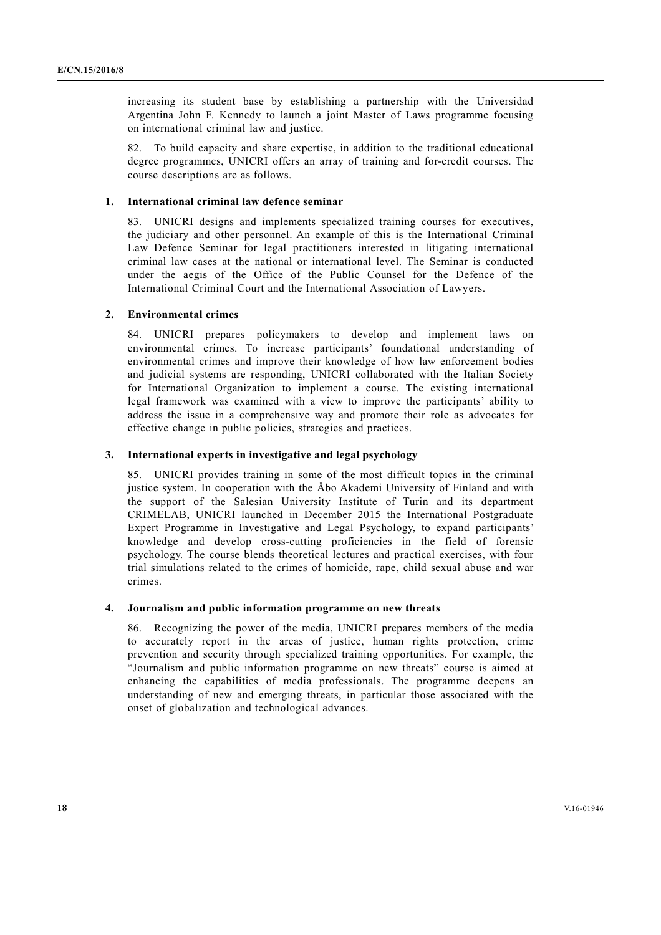increasing its student base by establishing a partnership with the Universidad Argentina John F. Kennedy to launch a joint Master of Laws programme focusing on international criminal law and justice.

82. To build capacity and share expertise, in addition to the traditional educational degree programmes, UNICRI offers an array of training and for-credit courses. The course descriptions are as follows.

#### **1. International criminal law defence seminar**

83. UNICRI designs and implements specialized training courses for executives, the judiciary and other personnel. An example of this is the International Criminal Law Defence Seminar for legal practitioners interested in litigating international criminal law cases at the national or international level. The Seminar is conducted under the aegis of the Office of the Public Counsel for the Defence of the International Criminal Court and the International Association of Lawyers.

#### **2. Environmental crimes**

84. UNICRI prepares policymakers to develop and implement laws on environmental crimes. To increase participants' foundational understanding of environmental crimes and improve their knowledge of how law enforcement bodies and judicial systems are responding, UNICRI collaborated with the Italian Society for International Organization to implement a course. The existing international legal framework was examined with a view to improve the participants' ability to address the issue in a comprehensive way and promote their role as advocates for effective change in public policies, strategies and practices.

#### **3. International experts in investigative and legal psychology**

85. UNICRI provides training in some of the most difficult topics in the criminal justice system. In cooperation with the Åbo Akademi University of Finland and with the support of the Salesian University Institute of Turin and its department CRIMELAB, UNICRI launched in December 2015 the International Postgraduate Expert Programme in Investigative and Legal Psychology, to expand participants' knowledge and develop cross-cutting proficiencies in the field of forensic psychology. The course blends theoretical lectures and practical exercises, with four trial simulations related to the crimes of homicide, rape, child sexual abuse and war crimes.

#### **4. Journalism and public information programme on new threats**

86. Recognizing the power of the media, UNICRI prepares members of the media to accurately report in the areas of justice, human rights protection, crime prevention and security through specialized training opportunities. For example, the "Journalism and public information programme on new threats" course is aimed at enhancing the capabilities of media professionals. The programme deepens an understanding of new and emerging threats, in particular those associated with the onset of globalization and technological advances.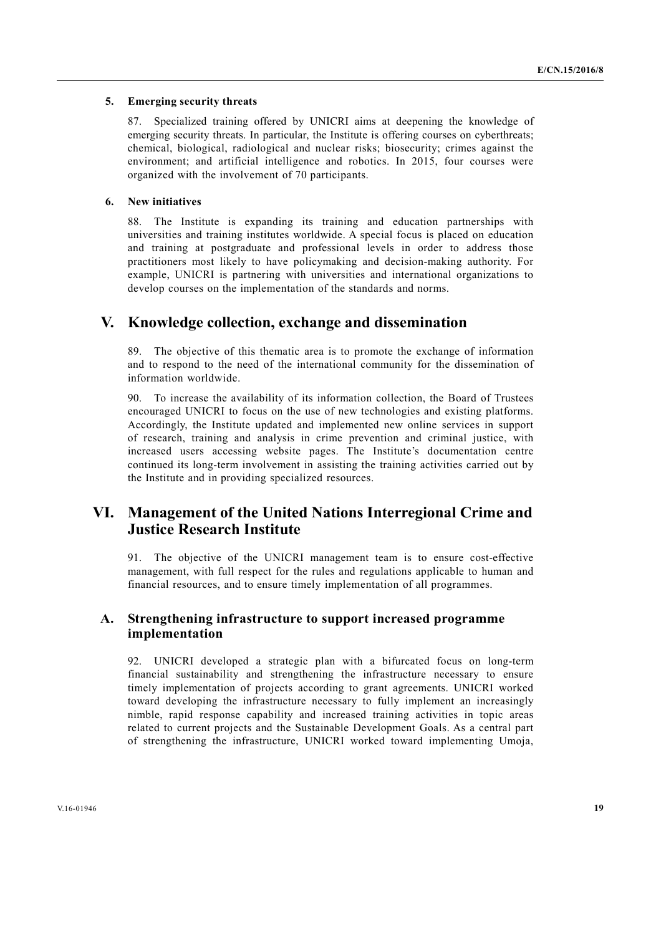#### **5. Emerging security threats**

87. Specialized training offered by UNICRI aims at deepening the knowledge of emerging security threats. In particular, the Institute is offering courses on cyberthreats; chemical, biological, radiological and nuclear risks; biosecurity; crimes against the environment; and artificial intelligence and robotics. In 2015, four courses were organized with the involvement of 70 participants.

#### **6. New initiatives**

88. The Institute is expanding its training and education partnerships with universities and training institutes worldwide. A special focus is placed on education and training at postgraduate and professional levels in order to address those practitioners most likely to have policymaking and decision-making authority. For example, UNICRI is partnering with universities and international organizations to develop courses on the implementation of the standards and norms.

## **V. Knowledge collection, exchange and dissemination**

89. The objective of this thematic area is to promote the exchange of information and to respond to the need of the international community for the dissemination of information worldwide.

90. To increase the availability of its information collection, the Board of Trustees encouraged UNICRI to focus on the use of new technologies and existing platforms. Accordingly, the Institute updated and implemented new online services in support of research, training and analysis in crime prevention and criminal justice, with increased users accessing website pages. The Institute's documentation centre continued its long-term involvement in assisting the training activities carried out by the Institute and in providing specialized resources.

# **VI. Management of the United Nations Interregional Crime and Justice Research Institute**

91. The objective of the UNICRI management team is to ensure cost-effective management, with full respect for the rules and regulations applicable to human and financial resources, and to ensure timely implementation of all programmes.

## **A. Strengthening infrastructure to support increased programme implementation**

92. UNICRI developed a strategic plan with a bifurcated focus on long-term financial sustainability and strengthening the infrastructure necessary to ensure timely implementation of projects according to grant agreements. UNICRI worked toward developing the infrastructure necessary to fully implement an increasingly nimble, rapid response capability and increased training activities in topic areas related to current projects and the Sustainable Development Goals. As a central part of strengthening the infrastructure, UNICRI worked toward implementing Umoja,